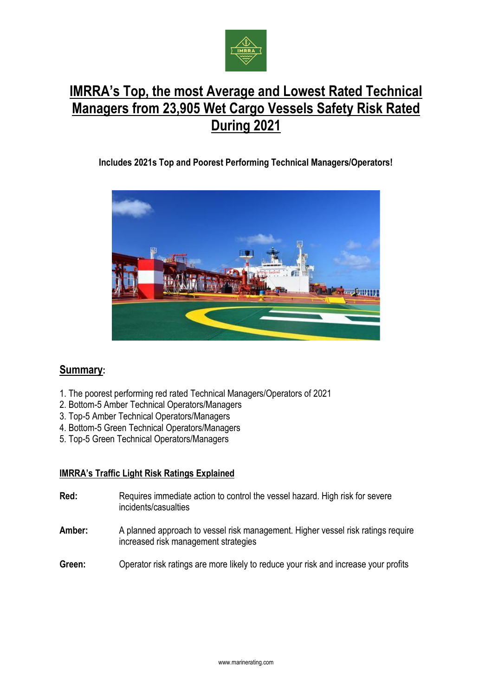

# **IMRRA's Top, the most Average and Lowest Rated Technical Managers from 23,905 Wet Cargo Vessels Safety Risk Rated During 2021**

## **Includes 2021s Top and Poorest Performing Technical Managers/Operators!**



# **Summary:**

- 1. The poorest performing red rated Technical Managers/Operators of 2021
- 2. Bottom-5 Amber Technical Operators/Managers
- 3. Top-5 Amber Technical Operators/Managers
- 4. Bottom-5 Green Technical Operators/Managers
- 5. Top-5 Green Technical Operators/Managers

#### **IMRRA's Traffic Light Risk Ratings Explained**

- **Red:** Requires immediate action to control the vessel hazard. High risk for severe incidents/casualties
- **Amber:** A planned approach to vessel risk management. Higher vessel risk ratings require increased risk management strategies
- **Green:** Operator risk ratings are more likely to reduce your risk and increase your profits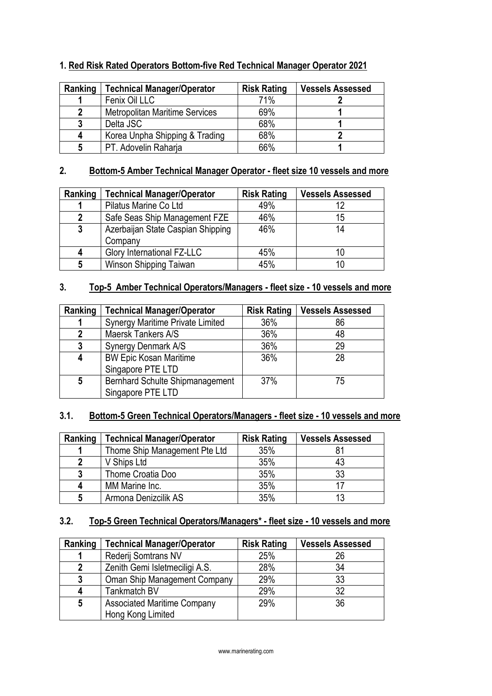### **1. Red Risk Rated Operators Bottom-five Red Technical Manager Operator 2021**

| Ranking | <b>Technical Manager/Operator</b>     | <b>Risk Rating</b> | <b>Vessels Assessed</b> |
|---------|---------------------------------------|--------------------|-------------------------|
|         | Fenix Oil LLC                         | 71%                |                         |
| 2       | <b>Metropolitan Maritime Services</b> | 69%                |                         |
| 3       | Delta JSC                             | 68%                |                         |
| 4       | Korea Unpha Shipping & Trading        | 68%                |                         |
| 5       | PT. Adovelin Raharja                  | 66%                |                         |

#### **2. Bottom-5 Amber Technical Manager Operator - fleet size 10 vessels and more**

| Ranking      | <b>Technical Manager/Operator</b> | <b>Risk Rating</b> | <b>Vessels Assessed</b> |
|--------------|-----------------------------------|--------------------|-------------------------|
|              | Pilatus Marine Co Ltd             | 49%                | 12                      |
| 2            | Safe Seas Ship Management FZE     | 46%                | 15                      |
| $\mathbf{3}$ | Azerbaijan State Caspian Shipping | 46%                | 14                      |
|              | Company                           |                    |                         |
| 4            | <b>Glory International FZ-LLC</b> | 45%                | 10                      |
| 5            | Winson Shipping Taiwan            | 45%                | 10                      |

# **3. Top-5 Amber Technical Operators/Managers - fleet size - 10 vessels and more**

| Ranking | <b>Technical Manager/Operator</b>                    | <b>Risk Rating</b> | <b>Vessels Assessed</b> |
|---------|------------------------------------------------------|--------------------|-------------------------|
|         | Synergy Maritime Private Limited                     | 36%                | 86                      |
| 2       | Maersk Tankers A/S                                   | 36%                | 48                      |
| 3       | Synergy Denmark A/S                                  | 36%                | 29                      |
| 4       | <b>BW Epic Kosan Maritime</b><br>Singapore PTE LTD   | 36%                | 28                      |
| 5       | Bernhard Schulte Shipmanagement<br>Singapore PTE LTD | 37%                | 75                      |

#### **3.1. Bottom-5 Green Technical Operators/Managers - fleet size - 10 vessels and more**

| Ranking         | Technical Manager/Operator    | <b>Risk Rating</b> | <b>Vessels Assessed</b> |
|-----------------|-------------------------------|--------------------|-------------------------|
|                 | Thome Ship Management Pte Ltd | 35%                |                         |
| $\mathbf 2$     | V Ships Ltd                   | 35%                | 43                      |
| 3               | Thome Croatia Doo             | 35%                | 33                      |
| 4               | MM Marine Inc.                | 35%                |                         |
| $5\phantom{.0}$ | Armona Denizcilik AS          | 35%                | 13                      |

## **3.2. Top-5 Green Technical Operators/Managers\* - fleet size - 10 vessels and more**

| Ranking      | <b>Technical Manager/Operator</b>  | <b>Risk Rating</b> | <b>Vessels Assessed</b> |
|--------------|------------------------------------|--------------------|-------------------------|
|              | Rederij Somtrans NV                | 25%                | 26                      |
| $\mathbf{2}$ | Zenith Gemi Isletmeciligi A.S.     | 28%                | 34                      |
| 3            | Oman Ship Management Company       | 29%                | 33                      |
| 4            | Tankmatch BV                       | 29%                | 32                      |
| 5            | <b>Associated Maritime Company</b> | 29%                | 36                      |
|              | Hong Kong Limited                  |                    |                         |